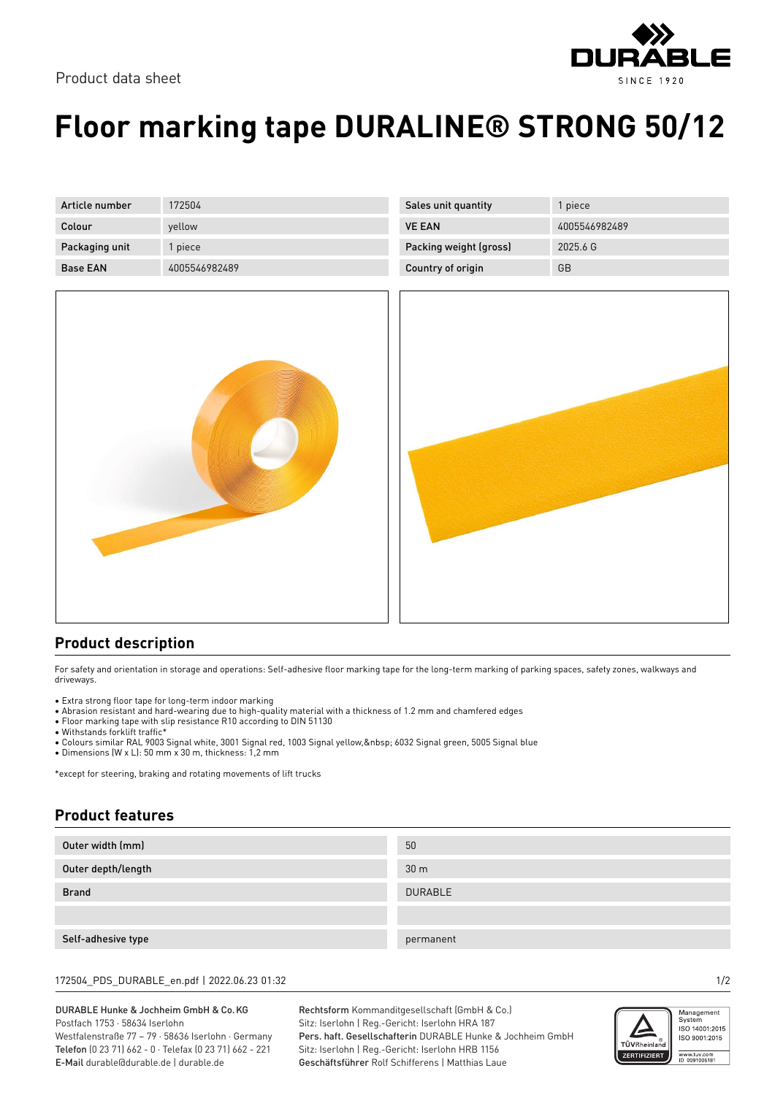



## **Floor marking tape DURALINE® STRONG 50/12**

| Article number  | 172504        |
|-----------------|---------------|
| Colour          | yellow        |
| Packaging unit  | 1 piece       |
| <b>Base EAN</b> | 4005546982489 |



| <b>Sales unit quantity</b> | 1 piece       |
|----------------------------|---------------|
| <b>VE FAN</b>              | 4005546982489 |
| Packing weight (gross)     | 20256G        |
| Country of origin          | GB            |



## **Product description**

For safety and orientation in storage and operations: Self-adhesive floor marking tape for the long-term marking of parking spaces, safety zones, walkways and driveways.

- Extra strong floor tape for long-term indoor marking
- Abrasion resistant and hard-wearing due to high-quality material with a thickness of 1.2 mm and chamfered edges
- Floor marking tape with slip resistance R10 according to DIN 51130
- Withstands forklift traffic\*
- Colours similar RAL 9003 Signal white, 3001 Signal red, 1003 Signal yellow, 6032 Signal green, 5005 Signal blue
- Dimensions (W x L): 50 mm x 30 m, thickness: 1,2 mm

\*except for steering, braking and rotating movements of lift trucks

## **Product features**

| Outer width (mm)   | 50              |
|--------------------|-----------------|
| Outer depth/length | 30 <sub>m</sub> |
| <b>Brand</b>       | <b>DURABLE</b>  |
|                    |                 |
| Self-adhesive type | permanent       |

172504\_PDS\_DURABLE\_en.pdf | 2022.06.23 01:32 1/2

DURABLE Hunke & Jochheim GmbH & Co.KG Postfach 1753 · 58634 Iserlohn Westfalenstraße 77 – 79 · 58636 Iserlohn · Germany Telefon (0 23 71) 662 - 0 · Telefax (0 23 71) 662 - 221

E-Mail durable@durable.de | durable.de

Rechtsform Kommanditgesellschaft (GmbH & Co.) Sitz: Iserlohn | Reg.-Gericht: Iserlohn HRA 187 Pers. haft. Gesellschafterin DURABLE Hunke & Jochheim GmbH Sitz: Iserlohn | Reg.-Gericht: Iserlohn HRB 1156 Geschäftsführer Rolf Schifferens | Matthias Laue